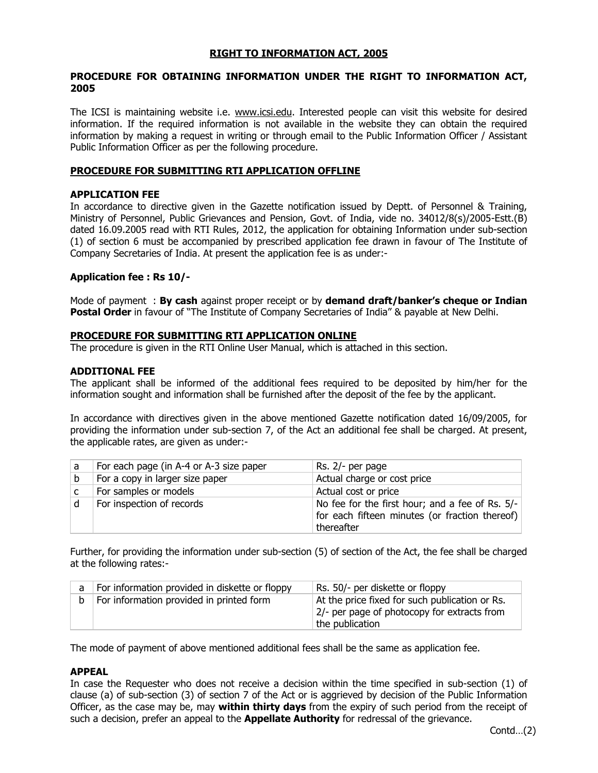## **RIGHT TO INFORMATION ACT, 2005**

### **PROCEDURE FOR OBTAINING INFORMATION UNDER THE RIGHT TO INFORMATION ACT, 2005**

The ICSI is maintaining website i.e. www.icsi.edu. Interested people can visit this website for desired information. If the required information is not available in the website they can obtain the required information by making a request in writing or through email to the Public Information Officer / Assistant Public Information Officer as per the following procedure.

#### **PROCEDURE FOR SUBMITTING RTI APPLICATION OFFLINE**

#### **APPLICATION FEE**

In accordance to directive given in the Gazette notification issued by Deptt. of Personnel & Training, Ministry of Personnel, Public Grievances and Pension, Govt. of India, vide no. 34012/8(s)/2005-Estt.(B) dated 16.09.2005 read with RTI Rules, 2012, the application for obtaining Information under sub-section (1) of section 6 must be accompanied by prescribed application fee drawn in favour of The Institute of Company Secretaries of India. At present the application fee is as under:-

### **Application fee : Rs 10/-**

Mode of payment : **By cash** against proper receipt or by **demand draft/banker's cheque or Indian Postal Order** in favour of "The Institute of Company Secretaries of India" & payable at New Delhi.

#### **PROCEDURE FOR SUBMITTING RTI APPLICATION ONLINE**

The procedure is given in the RTI Online User Manual, which is attached in this section.

### **ADDITIONAL FEE**

The applicant shall be informed of the additional fees required to be deposited by him/her for the information sought and information shall be furnished after the deposit of the fee by the applicant.

In accordance with directives given in the above mentioned Gazette notification dated 16/09/2005, for providing the information under sub-section 7, of the Act an additional fee shall be charged. At present, the applicable rates, are given as under:-

| a | For each page (in A-4 or A-3 size paper | Rs. 2/- per page                                                                                                |
|---|-----------------------------------------|-----------------------------------------------------------------------------------------------------------------|
| b | For a copy in larger size paper         | Actual charge or cost price                                                                                     |
|   | For samples or models                   | Actual cost or price                                                                                            |
|   | For inspection of records               | No fee for the first hour; and a fee of Rs. 5/-<br>for each fifteen minutes (or fraction thereof)<br>thereafter |

Further, for providing the information under sub-section (5) of section of the Act, the fee shall be charged at the following rates:-

| For information provided in diskette or floppy | Rs. 50/- per diskette or floppy                                                                                  |
|------------------------------------------------|------------------------------------------------------------------------------------------------------------------|
| For information provided in printed form       | At the price fixed for such publication or Rs.<br>2/- per page of photocopy for extracts from<br>the publication |

The mode of payment of above mentioned additional fees shall be the same as application fee.

#### **APPEAL**

In case the Requester who does not receive a decision within the time specified in sub-section (1) of clause (a) of sub-section (3) of section 7 of the Act or is aggrieved by decision of the Public Information Officer, as the case may be, may **within thirty days** from the expiry of such period from the receipt of such a decision, prefer an appeal to the **Appellate Authority** for redressal of the grievance.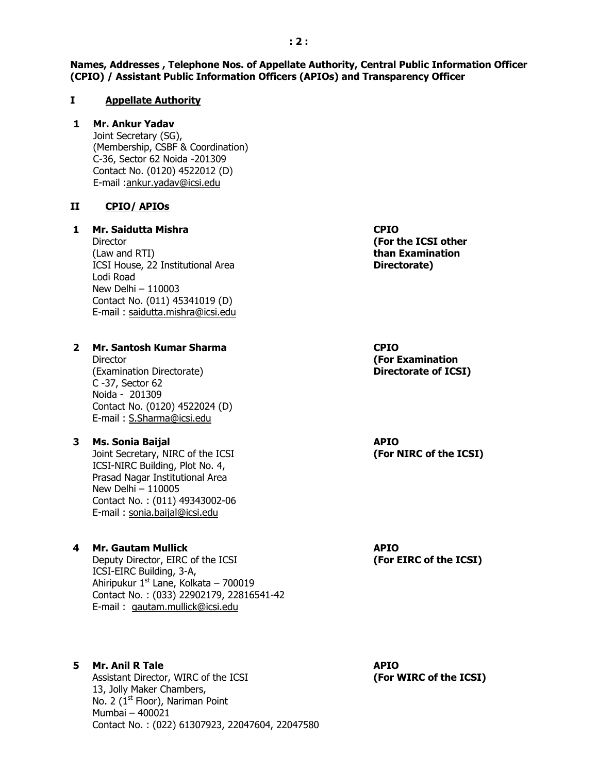**Names, Addresses , Telephone Nos. of Appellate Authority, Central Public Information Officer (CPIO) / Assistant Public Information Officers (APIOs) and Transparency Officer**

#### **I Appellate Authority**

## **1 Mr. Ankur Yadav**

Joint Secretary (SG), (Membership, CSBF & Coordination) C-36, Sector 62 Noida -201309 Contact No. (0120) 4522012 (D) E-mail [:ankur.yadav@icsi.edu](mailto:ankur.yadav@icsi.edu)

#### **II CPIO/ APIOs**

#### **1 Mr. Saidutta Mishra**

**Director** (Law and RTI) ICSI House, 22 Institutional Area Lodi Road New Delhi – 110003 Contact No. (011) 45341019 (D) E-mail : saidutta.mishra@icsi.edu

#### **2 Mr. Santosh Kumar Sharma**

**Director** (Examination Directorate) C -37, Sector 62 Noida - 201309 Contact No. (0120) 4522024 (D) E-mail : S.Sharma@icsi.edu

#### **3 Ms. Sonia Baijal**

Joint Secretary, NIRC of the ICSI ICSI-NIRC Building, Plot No. 4, Prasad Nagar Institutional Area New Delhi – 110005 Contact No. : (011) 49343002-06 E-mail : sonia.baijal@icsi.edu

## **4 Mr. Gautam Mullick**

Deputy Director, EIRC of the ICSI ICSI-EIRC Building, 3-A, Ahiripukur  $1^{st}$  Lane, Kolkata – 700019 Contact No. : (033) 22902179, 22816541-42 E-mail : gautam.mullick@icsi.edu

## **5 Mr. Anil R Tale**

Assistant Director, WIRC of the ICSI 13, Jolly Maker Chambers, No. 2 ( $1<sup>st</sup>$  Floor), Nariman Point Mumbai – 400021 Contact No. : (022) 61307923, 22047604, 22047580 **CPIO (For the ICSI other than Examination Directorate)**

**CPIO (For Examination Directorate of ICSI)**

**APIO (For NIRC of the ICSI)**

**APIO (For EIRC of the ICSI)**

**APIO (For WIRC of the ICSI)**